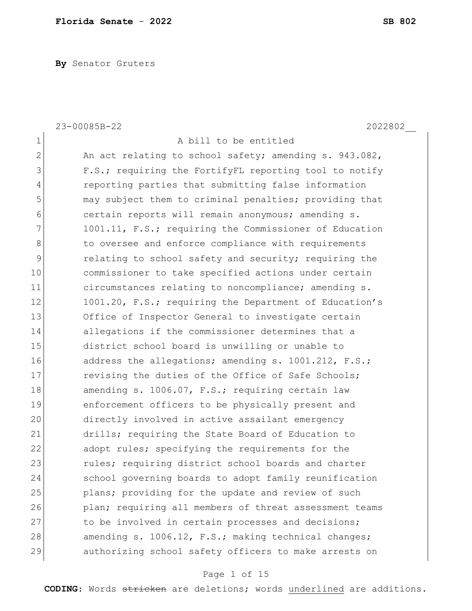**By** Senator Gruters

|               | 23-00085B-22<br>2022802                                |
|---------------|--------------------------------------------------------|
| $\mathbf 1$   | A bill to be entitled                                  |
| $\mathbf{2}$  | An act relating to school safety; amending s. 943.082, |
| 3             | F.S.; requiring the FortifyFL reporting tool to notify |
| 4             | reporting parties that submitting false information    |
| 5             | may subject them to criminal penalties; providing that |
| 6             | certain reports will remain anonymous; amending s.     |
| 7             | 1001.11, F.S.; requiring the Commissioner of Education |
| 8             | to oversee and enforce compliance with requirements    |
| $\mathcal{G}$ | relating to school safety and security; requiring the  |
| 10            | commissioner to take specified actions under certain   |
| 11            | circumstances relating to noncompliance; amending s.   |
| 12            | 1001.20, F.S.; requiring the Department of Education's |
| 13            | Office of Inspector General to investigate certain     |
| 14            | allegations if the commissioner determines that a      |
| 15            | district school board is unwilling or unable to        |
| 16            | address the allegations; amending s. 1001.212, F.S.;   |
| 17            | revising the duties of the Office of Safe Schools;     |
| 18            | amending s. 1006.07, F.S.; requiring certain law       |
| 19            | enforcement officers to be physically present and      |
| 20            | directly involved in active assailant emergency        |
| 21            | drills; requiring the State Board of Education to      |
| 22            | adopt rules; specifying the requirements for the       |
| 23            | rules; requiring district school boards and charter    |
| 24            | school governing boards to adopt family reunification  |
| 25            | plans; providing for the update and review of such     |
| 26            | plan; requiring all members of threat assessment teams |
| 27            | to be involved in certain processes and decisions;     |
| 28            | amending s. 1006.12, F.S.; making technical changes;   |
| 29            | authorizing school safety officers to make arrests on  |
|               |                                                        |

# Page 1 of 15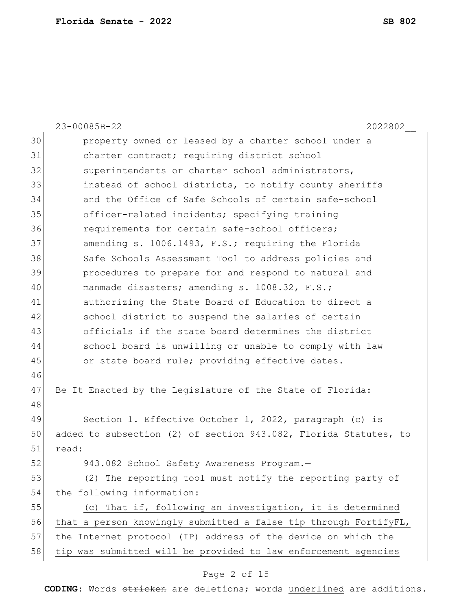|    | 23-00085B-22<br>2022802                                          |  |  |  |  |  |  |  |  |  |  |  |
|----|------------------------------------------------------------------|--|--|--|--|--|--|--|--|--|--|--|
| 30 | property owned or leased by a charter school under a             |  |  |  |  |  |  |  |  |  |  |  |
| 31 | charter contract; requiring district school                      |  |  |  |  |  |  |  |  |  |  |  |
| 32 | superintendents or charter school administrators,                |  |  |  |  |  |  |  |  |  |  |  |
| 33 | instead of school districts, to notify county sheriffs           |  |  |  |  |  |  |  |  |  |  |  |
| 34 | and the Office of Safe Schools of certain safe-school            |  |  |  |  |  |  |  |  |  |  |  |
| 35 | officer-related incidents; specifying training                   |  |  |  |  |  |  |  |  |  |  |  |
| 36 | requirements for certain safe-school officers;                   |  |  |  |  |  |  |  |  |  |  |  |
| 37 | amending s. 1006.1493, F.S.; requiring the Florida               |  |  |  |  |  |  |  |  |  |  |  |
| 38 | Safe Schools Assessment Tool to address policies and             |  |  |  |  |  |  |  |  |  |  |  |
| 39 | procedures to prepare for and respond to natural and             |  |  |  |  |  |  |  |  |  |  |  |
| 40 | manmade disasters; amending s. 1008.32, F.S.;                    |  |  |  |  |  |  |  |  |  |  |  |
| 41 | authorizing the State Board of Education to direct a             |  |  |  |  |  |  |  |  |  |  |  |
| 42 | school district to suspend the salaries of certain               |  |  |  |  |  |  |  |  |  |  |  |
| 43 | officials if the state board determines the district             |  |  |  |  |  |  |  |  |  |  |  |
| 44 | school board is unwilling or unable to comply with law           |  |  |  |  |  |  |  |  |  |  |  |
| 45 | or state board rule; providing effective dates.                  |  |  |  |  |  |  |  |  |  |  |  |
| 46 |                                                                  |  |  |  |  |  |  |  |  |  |  |  |
| 47 | Be It Enacted by the Legislature of the State of Florida:        |  |  |  |  |  |  |  |  |  |  |  |
| 48 |                                                                  |  |  |  |  |  |  |  |  |  |  |  |
| 49 | Section 1. Effective October 1, 2022, paragraph (c) is           |  |  |  |  |  |  |  |  |  |  |  |
| 50 | added to subsection (2) of section 943.082, Florida Statutes, to |  |  |  |  |  |  |  |  |  |  |  |
| 51 | read:                                                            |  |  |  |  |  |  |  |  |  |  |  |
| 52 | 943.082 School Safety Awareness Program.-                        |  |  |  |  |  |  |  |  |  |  |  |
| 53 | (2) The reporting tool must notify the reporting party of        |  |  |  |  |  |  |  |  |  |  |  |
| 54 | the following information:                                       |  |  |  |  |  |  |  |  |  |  |  |
| 55 | (c) That if, following an investigation, it is determined        |  |  |  |  |  |  |  |  |  |  |  |
| 56 | that a person knowingly submitted a false tip through FortifyFL, |  |  |  |  |  |  |  |  |  |  |  |
| 57 | the Internet protocol (IP) address of the device on which the    |  |  |  |  |  |  |  |  |  |  |  |
| 58 | tip was submitted will be provided to law enforcement agencies   |  |  |  |  |  |  |  |  |  |  |  |

# Page 2 of 15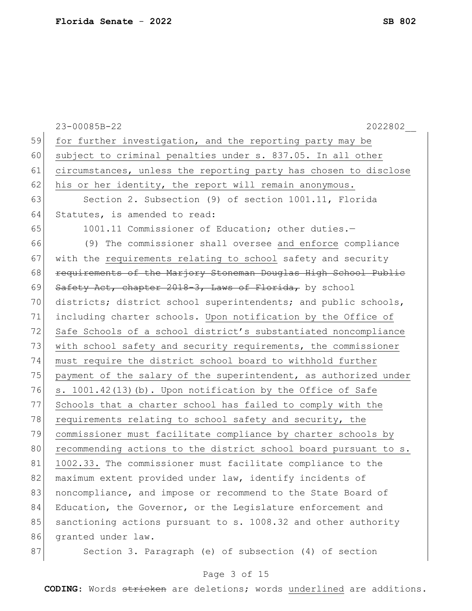|    | 23-00085B-22<br>2022802                                                                                                         |  |  |  |  |  |  |  |  |  |  |
|----|---------------------------------------------------------------------------------------------------------------------------------|--|--|--|--|--|--|--|--|--|--|
| 59 | for further investigation, and the reporting party may be                                                                       |  |  |  |  |  |  |  |  |  |  |
| 60 | subject to criminal penalties under s. 837.05. In all other<br>circumstances, unless the reporting party has chosen to disclose |  |  |  |  |  |  |  |  |  |  |
| 61 |                                                                                                                                 |  |  |  |  |  |  |  |  |  |  |
| 62 | his or her identity, the report will remain anonymous.                                                                          |  |  |  |  |  |  |  |  |  |  |
| 63 | Section 2. Subsection (9) of section 1001.11, Florida                                                                           |  |  |  |  |  |  |  |  |  |  |
| 64 | Statutes, is amended to read:                                                                                                   |  |  |  |  |  |  |  |  |  |  |
| 65 | 1001.11 Commissioner of Education; other duties.-                                                                               |  |  |  |  |  |  |  |  |  |  |
| 66 | (9) The commissioner shall oversee and enforce compliance                                                                       |  |  |  |  |  |  |  |  |  |  |
| 67 | with the requirements relating to school safety and security                                                                    |  |  |  |  |  |  |  |  |  |  |
| 68 | requirements of the Marjory Stoneman Douglas High School Public                                                                 |  |  |  |  |  |  |  |  |  |  |
| 69 | Safety Act, chapter 2018-3, Laws of Florida, by school                                                                          |  |  |  |  |  |  |  |  |  |  |
| 70 | districts; district school superintendents; and public schools,                                                                 |  |  |  |  |  |  |  |  |  |  |
| 71 | including charter schools. Upon notification by the Office of                                                                   |  |  |  |  |  |  |  |  |  |  |
| 72 | Safe Schools of a school district's substantiated noncompliance                                                                 |  |  |  |  |  |  |  |  |  |  |
| 73 | with school safety and security requirements, the commissioner                                                                  |  |  |  |  |  |  |  |  |  |  |
| 74 | must require the district school board to withhold further                                                                      |  |  |  |  |  |  |  |  |  |  |
| 75 | payment of the salary of the superintendent, as authorized under                                                                |  |  |  |  |  |  |  |  |  |  |
| 76 | s. 1001.42(13) (b). Upon notification by the Office of Safe                                                                     |  |  |  |  |  |  |  |  |  |  |
| 77 | Schools that a charter school has failed to comply with the                                                                     |  |  |  |  |  |  |  |  |  |  |
| 78 | requirements relating to school safety and security, the                                                                        |  |  |  |  |  |  |  |  |  |  |
| 79 | commissioner must facilitate compliance by charter schools by                                                                   |  |  |  |  |  |  |  |  |  |  |
| 80 | recommending actions to the district school board pursuant to s.                                                                |  |  |  |  |  |  |  |  |  |  |
| 81 | 1002.33. The commissioner must facilitate compliance to the                                                                     |  |  |  |  |  |  |  |  |  |  |
| 82 | maximum extent provided under law, identify incidents of                                                                        |  |  |  |  |  |  |  |  |  |  |
| 83 | noncompliance, and impose or recommend to the State Board of                                                                    |  |  |  |  |  |  |  |  |  |  |
| 84 | Education, the Governor, or the Legislature enforcement and                                                                     |  |  |  |  |  |  |  |  |  |  |
| 85 | sanctioning actions pursuant to s. 1008.32 and other authority                                                                  |  |  |  |  |  |  |  |  |  |  |
| 86 | granted under law.                                                                                                              |  |  |  |  |  |  |  |  |  |  |
| 87 | Section 3. Paragraph (e) of subsection (4) of section                                                                           |  |  |  |  |  |  |  |  |  |  |

# Page 3 of 15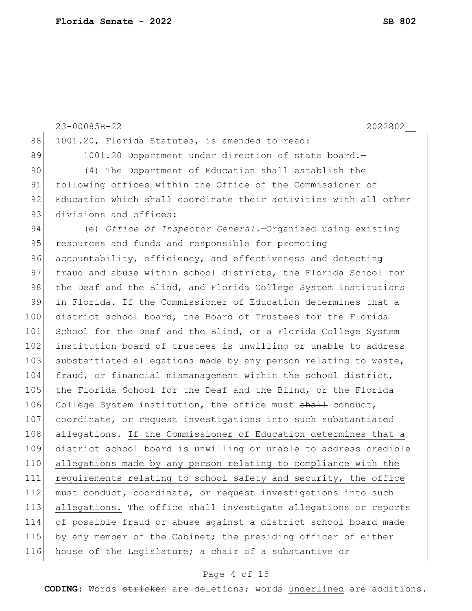23-00085B-22 2022802\_\_ 88 1001.20, Florida Statutes, is amended to read: 89 1001.20 Department under direction of state board. 90 (4) The Department of Education shall establish the 91 following offices within the Office of the Commissioner of 92 Education which shall coordinate their activities with all other 93 divisions and offices: 94 (e) *Office of Inspector General.*—Organized using existing 95 resources and funds and responsible for promoting 96 accountability, efficiency, and effectiveness and detecting 97 fraud and abuse within school districts, the Florida School for 98 the Deaf and the Blind, and Florida College System institutions 99 in Florida. If the Commissioner of Education determines that a 100 district school board, the Board of Trustees for the Florida 101 School for the Deaf and the Blind, or a Florida College System 102 institution board of trustees is unwilling or unable to address 103 substantiated allegations made by any person relating to waste, 104 fraud, or financial mismanagement within the school district, 105 the Florida School for the Deaf and the Blind, or the Florida 106 College System institution, the office must shall conduct, 107 coordinate, or request investigations into such substantiated 108 allegations. If the Commissioner of Education determines that a 109 district school board is unwilling or unable to address credible 110 allegations made by any person relating to compliance with the 111 requirements relating to school safety and security, the office 112 must conduct, coordinate, or request investigations into such 113 allegations. The office shall investigate allegations or reports 114 of possible fraud or abuse against a district school board made 115 by any member of the Cabinet; the presiding officer of either 116 house of the Legislature; a chair of a substantive or

## Page 4 of 15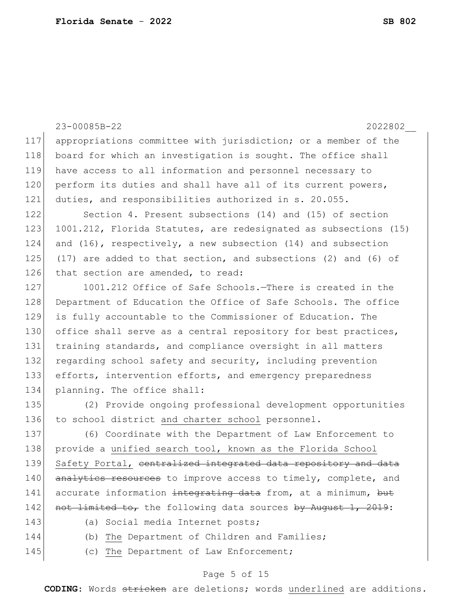|     | 23-00085B-22<br>2022802                                              |  |  |  |  |  |  |  |  |  |  |
|-----|----------------------------------------------------------------------|--|--|--|--|--|--|--|--|--|--|
| 117 | appropriations committee with jurisdiction; or a member of the       |  |  |  |  |  |  |  |  |  |  |
| 118 | board for which an investigation is sought. The office shall         |  |  |  |  |  |  |  |  |  |  |
| 119 | have access to all information and personnel necessary to            |  |  |  |  |  |  |  |  |  |  |
| 120 | perform its duties and shall have all of its current powers,         |  |  |  |  |  |  |  |  |  |  |
| 121 | duties, and responsibilities authorized in s. 20.055.                |  |  |  |  |  |  |  |  |  |  |
| 122 | Section 4. Present subsections (14) and (15) of section              |  |  |  |  |  |  |  |  |  |  |
| 123 | 1001.212, Florida Statutes, are redesignated as subsections (15)     |  |  |  |  |  |  |  |  |  |  |
| 124 | and (16), respectively, a new subsection (14) and subsection         |  |  |  |  |  |  |  |  |  |  |
| 125 | $(17)$ are added to that section, and subsections $(2)$ and $(6)$ of |  |  |  |  |  |  |  |  |  |  |
| 126 | that section are amended, to read:                                   |  |  |  |  |  |  |  |  |  |  |
| 127 | 1001.212 Office of Safe Schools.-There is created in the             |  |  |  |  |  |  |  |  |  |  |
| 128 | Department of Education the Office of Safe Schools. The office       |  |  |  |  |  |  |  |  |  |  |
| 129 | is fully accountable to the Commissioner of Education. The           |  |  |  |  |  |  |  |  |  |  |
| 130 | office shall serve as a central repository for best practices,       |  |  |  |  |  |  |  |  |  |  |
| 131 | training standards, and compliance oversight in all matters          |  |  |  |  |  |  |  |  |  |  |
| 132 | regarding school safety and security, including prevention           |  |  |  |  |  |  |  |  |  |  |
| 133 | efforts, intervention efforts, and emergency preparedness            |  |  |  |  |  |  |  |  |  |  |
| 134 | planning. The office shall:                                          |  |  |  |  |  |  |  |  |  |  |
| 135 | (2) Provide ongoing professional development opportunities           |  |  |  |  |  |  |  |  |  |  |
| 136 | to school district and charter school personnel.                     |  |  |  |  |  |  |  |  |  |  |
| 137 | (6) Coordinate with the Department of Law Enforcement to             |  |  |  |  |  |  |  |  |  |  |
| 138 | provide a unified search tool, known as the Florida School           |  |  |  |  |  |  |  |  |  |  |
| 139 | Safety Portal, contralized integrated data repository and data       |  |  |  |  |  |  |  |  |  |  |
| 140 | analytics resources to improve access to timely, complete, and       |  |  |  |  |  |  |  |  |  |  |
| 141 | accurate information integrating data from, at a minimum, but        |  |  |  |  |  |  |  |  |  |  |
| 142 | not limited to, the following data sources by August 1, 2019:        |  |  |  |  |  |  |  |  |  |  |
| 143 | Social media Internet posts;<br>(a)                                  |  |  |  |  |  |  |  |  |  |  |
| 144 | (b) The Department of Children and Families;                         |  |  |  |  |  |  |  |  |  |  |
| 145 | (c) The Department of Law Enforcement;                               |  |  |  |  |  |  |  |  |  |  |

# Page 5 of 15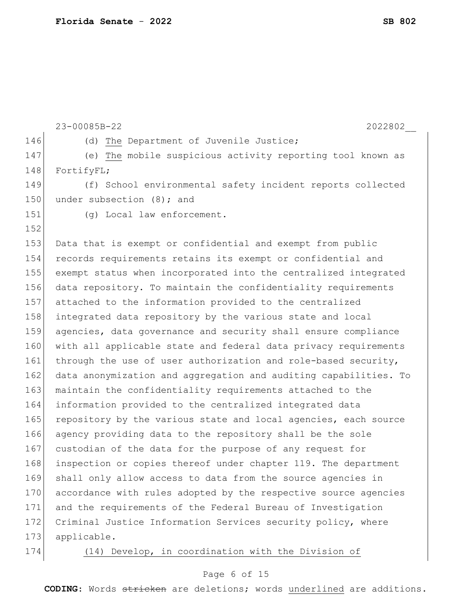|     | 23-00085B-22<br>2022802                                          |  |  |  |  |  |  |  |  |  |  |
|-----|------------------------------------------------------------------|--|--|--|--|--|--|--|--|--|--|
| 146 | (d) The Department of Juvenile Justice;                          |  |  |  |  |  |  |  |  |  |  |
| 147 | (e) The mobile suspicious activity reporting tool known as       |  |  |  |  |  |  |  |  |  |  |
| 148 | FortifyFL;                                                       |  |  |  |  |  |  |  |  |  |  |
| 149 | (f) School environmental safety incident reports collected       |  |  |  |  |  |  |  |  |  |  |
| 150 | under subsection (8); and                                        |  |  |  |  |  |  |  |  |  |  |
| 151 | (g) Local law enforcement.                                       |  |  |  |  |  |  |  |  |  |  |
| 152 |                                                                  |  |  |  |  |  |  |  |  |  |  |
| 153 | Data that is exempt or confidential and exempt from public       |  |  |  |  |  |  |  |  |  |  |
| 154 | records requirements retains its exempt or confidential and      |  |  |  |  |  |  |  |  |  |  |
| 155 | exempt status when incorporated into the centralized integrated  |  |  |  |  |  |  |  |  |  |  |
| 156 | data repository. To maintain the confidentiality requirements    |  |  |  |  |  |  |  |  |  |  |
| 157 | attached to the information provided to the centralized          |  |  |  |  |  |  |  |  |  |  |
| 158 | integrated data repository by the various state and local        |  |  |  |  |  |  |  |  |  |  |
| 159 | agencies, data governance and security shall ensure compliance   |  |  |  |  |  |  |  |  |  |  |
| 160 | with all applicable state and federal data privacy requirements  |  |  |  |  |  |  |  |  |  |  |
| 161 | through the use of user authorization and role-based security,   |  |  |  |  |  |  |  |  |  |  |
| 162 | data anonymization and aggregation and auditing capabilities. To |  |  |  |  |  |  |  |  |  |  |
| 163 | maintain the confidentiality requirements attached to the        |  |  |  |  |  |  |  |  |  |  |
| 164 | information provided to the centralized integrated data          |  |  |  |  |  |  |  |  |  |  |
| 165 | repository by the various state and local agencies, each source  |  |  |  |  |  |  |  |  |  |  |
| 166 | agency providing data to the repository shall be the sole        |  |  |  |  |  |  |  |  |  |  |
| 167 | custodian of the data for the purpose of any request for         |  |  |  |  |  |  |  |  |  |  |
| 168 | inspection or copies thereof under chapter 119. The department   |  |  |  |  |  |  |  |  |  |  |
| 169 | shall only allow access to data from the source agencies in      |  |  |  |  |  |  |  |  |  |  |
| 170 | accordance with rules adopted by the respective source agencies  |  |  |  |  |  |  |  |  |  |  |
| 171 | and the requirements of the Federal Bureau of Investigation      |  |  |  |  |  |  |  |  |  |  |
| 172 | Criminal Justice Information Services security policy, where     |  |  |  |  |  |  |  |  |  |  |
| 173 | applicable.                                                      |  |  |  |  |  |  |  |  |  |  |
| 174 | (14) Develop, in coordination with the Division of               |  |  |  |  |  |  |  |  |  |  |

# Page 6 of 15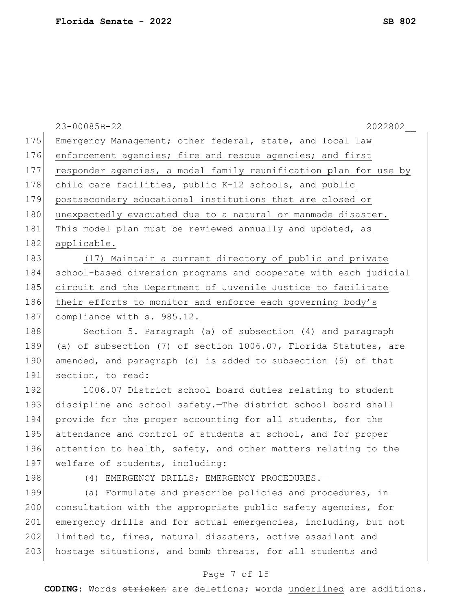|     | 23-00085B-22<br>2022802                                          |  |  |  |  |  |  |  |  |  |
|-----|------------------------------------------------------------------|--|--|--|--|--|--|--|--|--|
| 175 | Emergency Management; other federal, state, and local law        |  |  |  |  |  |  |  |  |  |
| 176 | enforcement agencies; fire and rescue agencies; and first        |  |  |  |  |  |  |  |  |  |
| 177 | responder agencies, a model family reunification plan for use by |  |  |  |  |  |  |  |  |  |
| 178 | child care facilities, public K-12 schools, and public           |  |  |  |  |  |  |  |  |  |
| 179 | postsecondary educational institutions that are closed or        |  |  |  |  |  |  |  |  |  |
| 180 | unexpectedly evacuated due to a natural or manmade disaster.     |  |  |  |  |  |  |  |  |  |
| 181 | This model plan must be reviewed annually and updated, as        |  |  |  |  |  |  |  |  |  |
| 182 | applicable.                                                      |  |  |  |  |  |  |  |  |  |
| 183 | (17) Maintain a current directory of public and private          |  |  |  |  |  |  |  |  |  |
| 184 | school-based diversion programs and cooperate with each judicial |  |  |  |  |  |  |  |  |  |
| 185 | circuit and the Department of Juvenile Justice to facilitate     |  |  |  |  |  |  |  |  |  |
| 186 | their efforts to monitor and enforce each governing body's       |  |  |  |  |  |  |  |  |  |
| 187 | compliance with s. 985.12.                                       |  |  |  |  |  |  |  |  |  |
| 188 | Section 5. Paragraph (a) of subsection (4) and paragraph         |  |  |  |  |  |  |  |  |  |
| 189 | (a) of subsection (7) of section 1006.07, Florida Statutes, are  |  |  |  |  |  |  |  |  |  |
| 190 | amended, and paragraph (d) is added to subsection (6) of that    |  |  |  |  |  |  |  |  |  |
| 191 | section, to read:                                                |  |  |  |  |  |  |  |  |  |
| 192 | 1006.07 District school board duties relating to student         |  |  |  |  |  |  |  |  |  |
| 193 | discipline and school safety. The district school board shall    |  |  |  |  |  |  |  |  |  |
| 194 | provide for the proper accounting for all students, for the      |  |  |  |  |  |  |  |  |  |
| 195 | attendance and control of students at school, and for proper     |  |  |  |  |  |  |  |  |  |
| 196 | attention to health, safety, and other matters relating to the   |  |  |  |  |  |  |  |  |  |
| 197 | welfare of students, including:                                  |  |  |  |  |  |  |  |  |  |
| 198 | (4) EMERGENCY DRILLS; EMERGENCY PROCEDURES.-                     |  |  |  |  |  |  |  |  |  |
| 199 | (a) Formulate and prescribe policies and procedures, in          |  |  |  |  |  |  |  |  |  |
| 200 | consultation with the appropriate public safety agencies, for    |  |  |  |  |  |  |  |  |  |
| 201 | emergency drills and for actual emergencies, including, but not  |  |  |  |  |  |  |  |  |  |
| 202 | limited to, fires, natural disasters, active assailant and       |  |  |  |  |  |  |  |  |  |
| 203 | hostage situations, and bomb threats, for all students and       |  |  |  |  |  |  |  |  |  |
|     | Page 7 of 15                                                     |  |  |  |  |  |  |  |  |  |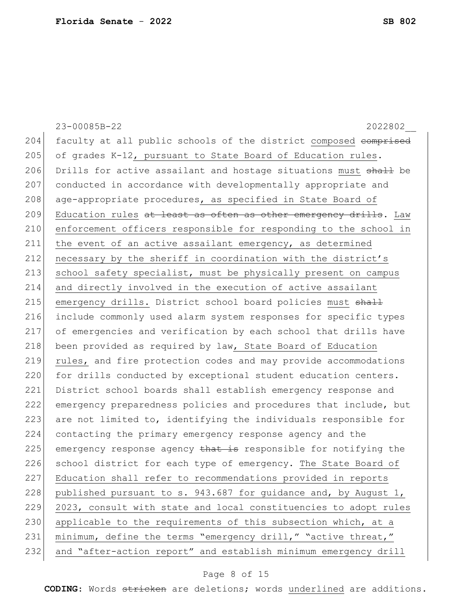|     | 23-00085B-22<br>2022802                                          |  |  |  |  |  |  |  |  |  |
|-----|------------------------------------------------------------------|--|--|--|--|--|--|--|--|--|
| 204 | faculty at all public schools of the district composed comprised |  |  |  |  |  |  |  |  |  |
| 205 | of grades K-12, pursuant to State Board of Education rules.      |  |  |  |  |  |  |  |  |  |
| 206 | Drills for active assailant and hostage situations must shall be |  |  |  |  |  |  |  |  |  |
| 207 | conducted in accordance with developmentally appropriate and     |  |  |  |  |  |  |  |  |  |
| 208 | age-appropriate procedures, as specified in State Board of       |  |  |  |  |  |  |  |  |  |
| 209 | Education rules at least as often as other emergency drills. Law |  |  |  |  |  |  |  |  |  |
| 210 | enforcement officers responsible for responding to the school in |  |  |  |  |  |  |  |  |  |
| 211 | the event of an active assailant emergency, as determined        |  |  |  |  |  |  |  |  |  |
| 212 | necessary by the sheriff in coordination with the district's     |  |  |  |  |  |  |  |  |  |
| 213 | school safety specialist, must be physically present on campus   |  |  |  |  |  |  |  |  |  |
| 214 | and directly involved in the execution of active assailant       |  |  |  |  |  |  |  |  |  |
| 215 | emergency drills. District school board policies must shall      |  |  |  |  |  |  |  |  |  |
| 216 | include commonly used alarm system responses for specific types  |  |  |  |  |  |  |  |  |  |
| 217 | of emergencies and verification by each school that drills have  |  |  |  |  |  |  |  |  |  |
| 218 | been provided as required by law, State Board of Education       |  |  |  |  |  |  |  |  |  |
| 219 | rules, and fire protection codes and may provide accommodations  |  |  |  |  |  |  |  |  |  |
| 220 | for drills conducted by exceptional student education centers.   |  |  |  |  |  |  |  |  |  |
| 221 | District school boards shall establish emergency response and    |  |  |  |  |  |  |  |  |  |
| 222 | emergency preparedness policies and procedures that include, but |  |  |  |  |  |  |  |  |  |
| 223 | are not limited to, identifying the individuals responsible for  |  |  |  |  |  |  |  |  |  |
| 224 | contacting the primary emergency response agency and the         |  |  |  |  |  |  |  |  |  |
| 225 | emergency response agency that is responsible for notifying the  |  |  |  |  |  |  |  |  |  |
| 226 | school district for each type of emergency. The State Board of   |  |  |  |  |  |  |  |  |  |
| 227 | Education shall refer to recommendations provided in reports     |  |  |  |  |  |  |  |  |  |
| 228 | published pursuant to s. 943.687 for guidance and, by August 1,  |  |  |  |  |  |  |  |  |  |
| 229 | 2023, consult with state and local constituencies to adopt rules |  |  |  |  |  |  |  |  |  |
| 230 | applicable to the requirements of this subsection which, at a    |  |  |  |  |  |  |  |  |  |
| 231 | minimum, define the terms "emergency drill," "active threat,"    |  |  |  |  |  |  |  |  |  |
| 232 | and "after-action report" and establish minimum emergency drill  |  |  |  |  |  |  |  |  |  |

# Page 8 of 15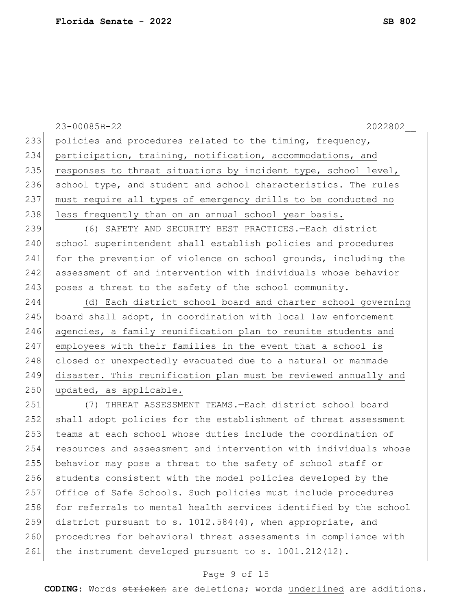23-00085B-22 2022802\_\_ 233 policies and procedures related to the timing, frequency, 234 participation, training, notification, accommodations, and 235 responses to threat situations by incident type, school level, 236 school type, and student and school characteristics. The rules 237 must require all types of emergency drills to be conducted no 238 less frequently than on an annual school year basis. 239 (6) SAFETY AND SECURITY BEST PRACTICES.—Each district 240 school superintendent shall establish policies and procedures 241 for the prevention of violence on school grounds, including the 242 assessment of and intervention with individuals whose behavior 243 poses a threat to the safety of the school community. 244 (d) Each district school board and charter school governing 245 board shall adopt, in coordination with local law enforcement 246 agencies, a family reunification plan to reunite students and 247 employees with their families in the event that a school is 248 closed or unexpectedly evacuated due to a natural or manmade 249 disaster. This reunification plan must be reviewed annually and 250 updated, as applicable. 251 (7) THREAT ASSESSMENT TEAMS.—Each district school board 252 shall adopt policies for the establishment of threat assessment 253 teams at each school whose duties include the coordination of 254 resources and assessment and intervention with individuals whose 255 behavior may pose a threat to the safety of school staff or 256 students consistent with the model policies developed by the 257 Office of Safe Schools. Such policies must include procedures 258 for referrals to mental health services identified by the school 259 district pursuant to s. 1012.584(4), when appropriate, and 260 procedures for behavioral threat assessments in compliance with 261 the instrument developed pursuant to s. 1001.212(12).

## Page 9 of 15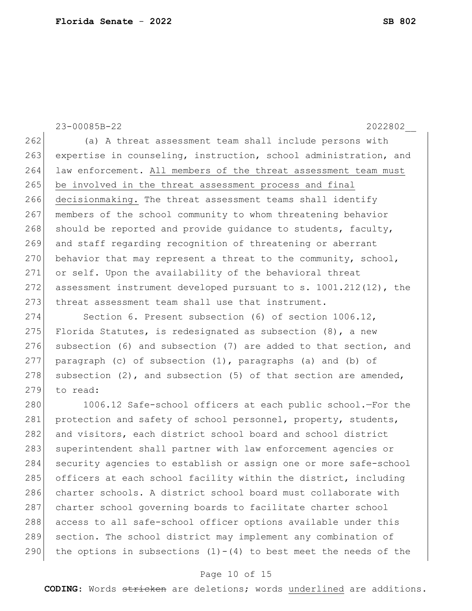23-00085B-22 2022802\_\_ 262 (a) A threat assessment team shall include persons with 263 expertise in counseling, instruction, school administration, and 264 law enforcement. All members of the threat assessment team must 265 be involved in the threat assessment process and final 266 decisionmaking. The threat assessment teams shall identify 267 members of the school community to whom threatening behavior 268 should be reported and provide guidance to students, faculty, 269 and staff regarding recognition of threatening or aberrant 270 behavior that may represent a threat to the community, school, 271 or self. Upon the availability of the behavioral threat 272 assessment instrument developed pursuant to s. 1001.212(12), the 273 threat assessment team shall use that instrument. 274 Section 6. Present subsection (6) of section 1006.12, 275 Florida Statutes, is redesignated as subsection  $(8)$ , a new 276 subsection (6) and subsection (7) are added to that section, and 277 paragraph (c) of subsection (1), paragraphs (a) and (b) of 278 subsection  $(2)$ , and subsection  $(5)$  of that section are amended, 279 to read: 280 1006.12 Safe-school officers at each public school.—For the 281 protection and safety of school personnel, property, students, 282 and visitors, each district school board and school district 283 superintendent shall partner with law enforcement agencies or 284 security agencies to establish or assign one or more safe-school 285 officers at each school facility within the district, including 286 charter schools. A district school board must collaborate with

 charter school governing boards to facilitate charter school access to all safe-school officer options available under this section. The school district may implement any combination of 290 the options in subsections  $(1)-(4)$  to best meet the needs of the

## Page 10 of 15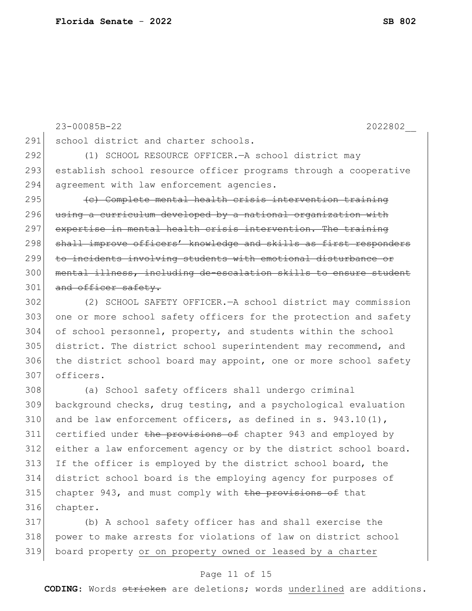23-00085B-22 2022802\_\_ 291 school district and charter schools. 292 (1) SCHOOL RESOURCE OFFICER.—A school district may 293 establish school resource officer programs through a cooperative 294 agreement with law enforcement agencies.  $295$  (c) Complete mental health crisis intervention training 296 using a curriculum developed by a national organization with 297 expertise in mental health crisis intervention. The training 298 shall improve officers' knowledge and skills as first responders 299 to incidents involving students with emotional disturbance or 300 | mental illness, including de-escalation skills to ensure student 301 and officer safety. 302 (2) SCHOOL SAFETY OFFICER.—A school district may commission 303 one or more school safety officers for the protection and safety 304 of school personnel, property, and students within the school 305 district. The district school superintendent may recommend, and 306 the district school board may appoint, one or more school safety 307 officers. 308 (a) School safety officers shall undergo criminal 309 background checks, drug testing, and a psychological evaluation 310 and be law enforcement officers, as defined in s.  $943.10(1)$ , 311 certified under the provisions of chapter 943 and employed by 312 either a law enforcement agency or by the district school board. 313 If the officer is employed by the district school board, the 314 district school board is the employing agency for purposes of 315 chapter 943, and must comply with the provisions of that 316 chapter.

317 (b) A school safety officer has and shall exercise the 318 power to make arrests for violations of law on district school 319 board property or on property owned or leased by a charter

## Page 11 of 15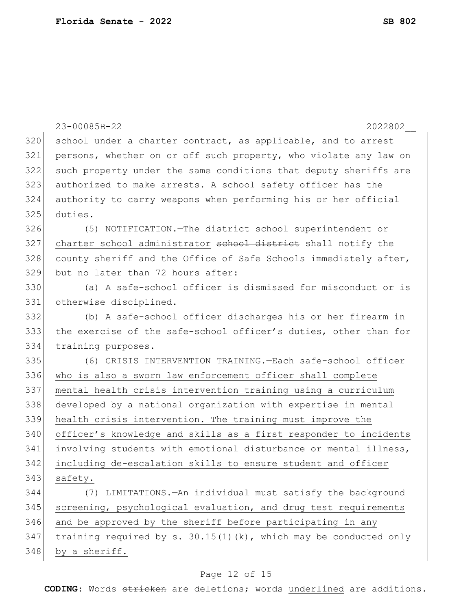|     | 23-00085B-22<br>2022802                                             |
|-----|---------------------------------------------------------------------|
| 320 | school under a charter contract, as applicable, and to arrest       |
| 321 | persons, whether on or off such property, who violate any law on    |
| 322 | such property under the same conditions that deputy sheriffs are    |
| 323 | authorized to make arrests. A school safety officer has the         |
| 324 | authority to carry weapons when performing his or her official      |
| 325 | duties.                                                             |
| 326 | (5) NOTIFICATION. - The district school superintendent or           |
| 327 | charter school administrator school district shall notify the       |
| 328 | county sheriff and the Office of Safe Schools immediately after,    |
| 329 | but no later than 72 hours after:                                   |
| 330 | (a) A safe-school officer is dismissed for misconduct or is         |
| 331 | otherwise disciplined.                                              |
| 332 | (b) A safe-school officer discharges his or her firearm in          |
| 333 | the exercise of the safe-school officer's duties, other than for    |
| 334 | training purposes.                                                  |
| 335 | (6) CRISIS INTERVENTION TRAINING. - Each safe-school officer        |
| 336 | who is also a sworn law enforcement officer shall complete          |
| 337 | mental health crisis intervention training using a curriculum       |
| 338 | developed by a national organization with expertise in mental       |
| 339 | health crisis intervention. The training must improve the           |
| 340 | officer's knowledge and skills as a first responder to incidents    |
| 341 | involving students with emotional disturbance or mental illness,    |
| 342 | including de-escalation skills to ensure student and officer        |
| 343 | safety.                                                             |
| 344 | LIMITATIONS. - An individual must satisfy the background<br>(7)     |
| 345 | screening, psychological evaluation, and drug test requirements     |
| 346 | and be approved by the sheriff before participating in any          |
| 347 | training required by $s. 30.15(1)$ (k), which may be conducted only |
| 348 | by a sheriff.                                                       |

# Page 12 of 15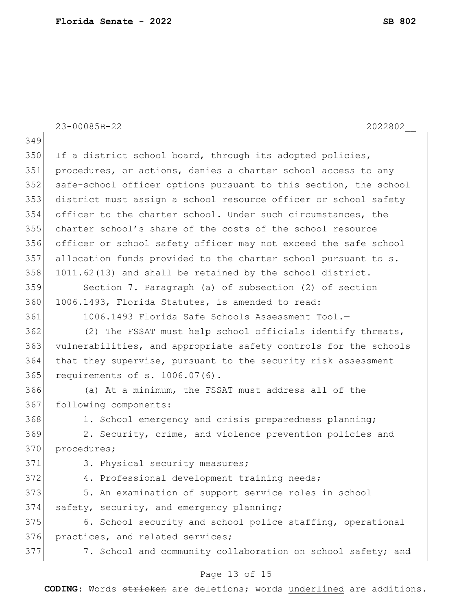23-00085B-22 2022802\_\_ 349 350 If a district school board, through its adopted policies, 351 procedures, or actions, denies a charter school access to any 352 safe-school officer options pursuant to this section, the school 353 district must assign a school resource officer or school safety 354 officer to the charter school. Under such circumstances, the 355 charter school's share of the costs of the school resource 356 officer or school safety officer may not exceed the safe school 357 allocation funds provided to the charter school pursuant to s. 358 1011.62(13) and shall be retained by the school district. 359 Section 7. Paragraph (a) of subsection (2) of section 360 1006.1493, Florida Statutes, is amended to read: 361 1006.1493 Florida Safe Schools Assessment Tool.— 362 (2) The FSSAT must help school officials identify threats, 363 vulnerabilities, and appropriate safety controls for the schools 364 that they supervise, pursuant to the security risk assessment 365 requirements of s. 1006.07(6). 366 (a) At a minimum, the FSSAT must address all of the 367 following components: 368 1. School emergency and crisis preparedness planning; 369 2. Security, crime, and violence prevention policies and 370 procedures; 371 3. Physical security measures; 372 4. Professional development training needs; 373 5. An examination of support service roles in school  $374$  safety, security, and emergency planning; 375 6. School security and school police staffing, operational 376 practices, and related services; 377 377 7. School and community collaboration on school safety; and

## Page 13 of 15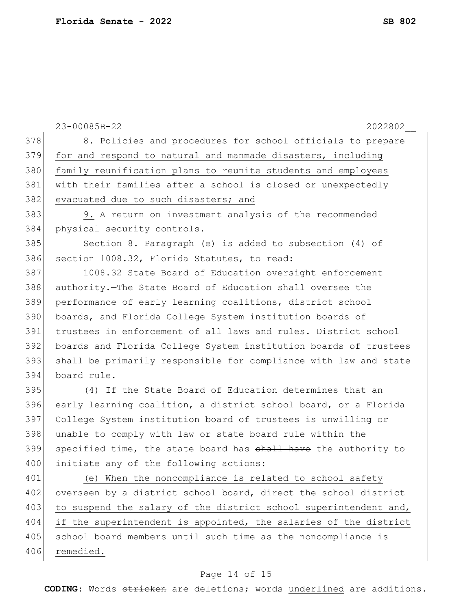| 378<br>8. Policies and procedures for school officials to prepare<br>379<br>for and respond to natural and manmade disasters, including<br>380<br>family reunification plans to reunite students and employees<br>381<br>with their families after a school is closed or unexpectedly<br>382<br>evacuated due to such disasters; and<br>383<br>9. A return on investment analysis of the recommended<br>384<br>physical security controls.<br>385<br>Section 8. Paragraph (e) is added to subsection (4) of<br>386<br>section 1008.32, Florida Statutes, to read:<br>387<br>1008.32 State Board of Education oversight enforcement<br>388<br>authority. The State Board of Education shall oversee the<br>389<br>performance of early learning coalitions, district school<br>390<br>boards, and Florida College System institution boards of<br>391<br>trustees in enforcement of all laws and rules. District school<br>392<br>boards and Florida College System institution boards of trustees<br>393<br>shall be primarily responsible for compliance with law and state<br>394<br>board rule.<br>395<br>(4) If the State Board of Education determines that an<br>396<br>early learning coalition, a district school board, or a Florida<br>397<br>College System institution board of trustees is unwilling or<br>398<br>unable to comply with law or state board rule within the<br>399<br>specified time, the state board has shall have the authority to<br>400<br>initiate any of the following actions: |     | 23-00085B-22<br>2022802                                |
|--------------------------------------------------------------------------------------------------------------------------------------------------------------------------------------------------------------------------------------------------------------------------------------------------------------------------------------------------------------------------------------------------------------------------------------------------------------------------------------------------------------------------------------------------------------------------------------------------------------------------------------------------------------------------------------------------------------------------------------------------------------------------------------------------------------------------------------------------------------------------------------------------------------------------------------------------------------------------------------------------------------------------------------------------------------------------------------------------------------------------------------------------------------------------------------------------------------------------------------------------------------------------------------------------------------------------------------------------------------------------------------------------------------------------------------------------------------------------------------------------------------------|-----|--------------------------------------------------------|
|                                                                                                                                                                                                                                                                                                                                                                                                                                                                                                                                                                                                                                                                                                                                                                                                                                                                                                                                                                                                                                                                                                                                                                                                                                                                                                                                                                                                                                                                                                                    |     |                                                        |
|                                                                                                                                                                                                                                                                                                                                                                                                                                                                                                                                                                                                                                                                                                                                                                                                                                                                                                                                                                                                                                                                                                                                                                                                                                                                                                                                                                                                                                                                                                                    |     |                                                        |
|                                                                                                                                                                                                                                                                                                                                                                                                                                                                                                                                                                                                                                                                                                                                                                                                                                                                                                                                                                                                                                                                                                                                                                                                                                                                                                                                                                                                                                                                                                                    |     |                                                        |
|                                                                                                                                                                                                                                                                                                                                                                                                                                                                                                                                                                                                                                                                                                                                                                                                                                                                                                                                                                                                                                                                                                                                                                                                                                                                                                                                                                                                                                                                                                                    |     |                                                        |
|                                                                                                                                                                                                                                                                                                                                                                                                                                                                                                                                                                                                                                                                                                                                                                                                                                                                                                                                                                                                                                                                                                                                                                                                                                                                                                                                                                                                                                                                                                                    |     |                                                        |
|                                                                                                                                                                                                                                                                                                                                                                                                                                                                                                                                                                                                                                                                                                                                                                                                                                                                                                                                                                                                                                                                                                                                                                                                                                                                                                                                                                                                                                                                                                                    |     |                                                        |
|                                                                                                                                                                                                                                                                                                                                                                                                                                                                                                                                                                                                                                                                                                                                                                                                                                                                                                                                                                                                                                                                                                                                                                                                                                                                                                                                                                                                                                                                                                                    |     |                                                        |
|                                                                                                                                                                                                                                                                                                                                                                                                                                                                                                                                                                                                                                                                                                                                                                                                                                                                                                                                                                                                                                                                                                                                                                                                                                                                                                                                                                                                                                                                                                                    |     |                                                        |
|                                                                                                                                                                                                                                                                                                                                                                                                                                                                                                                                                                                                                                                                                                                                                                                                                                                                                                                                                                                                                                                                                                                                                                                                                                                                                                                                                                                                                                                                                                                    |     |                                                        |
|                                                                                                                                                                                                                                                                                                                                                                                                                                                                                                                                                                                                                                                                                                                                                                                                                                                                                                                                                                                                                                                                                                                                                                                                                                                                                                                                                                                                                                                                                                                    |     |                                                        |
|                                                                                                                                                                                                                                                                                                                                                                                                                                                                                                                                                                                                                                                                                                                                                                                                                                                                                                                                                                                                                                                                                                                                                                                                                                                                                                                                                                                                                                                                                                                    |     |                                                        |
|                                                                                                                                                                                                                                                                                                                                                                                                                                                                                                                                                                                                                                                                                                                                                                                                                                                                                                                                                                                                                                                                                                                                                                                                                                                                                                                                                                                                                                                                                                                    |     |                                                        |
|                                                                                                                                                                                                                                                                                                                                                                                                                                                                                                                                                                                                                                                                                                                                                                                                                                                                                                                                                                                                                                                                                                                                                                                                                                                                                                                                                                                                                                                                                                                    |     |                                                        |
|                                                                                                                                                                                                                                                                                                                                                                                                                                                                                                                                                                                                                                                                                                                                                                                                                                                                                                                                                                                                                                                                                                                                                                                                                                                                                                                                                                                                                                                                                                                    |     |                                                        |
|                                                                                                                                                                                                                                                                                                                                                                                                                                                                                                                                                                                                                                                                                                                                                                                                                                                                                                                                                                                                                                                                                                                                                                                                                                                                                                                                                                                                                                                                                                                    |     |                                                        |
|                                                                                                                                                                                                                                                                                                                                                                                                                                                                                                                                                                                                                                                                                                                                                                                                                                                                                                                                                                                                                                                                                                                                                                                                                                                                                                                                                                                                                                                                                                                    |     |                                                        |
|                                                                                                                                                                                                                                                                                                                                                                                                                                                                                                                                                                                                                                                                                                                                                                                                                                                                                                                                                                                                                                                                                                                                                                                                                                                                                                                                                                                                                                                                                                                    |     |                                                        |
|                                                                                                                                                                                                                                                                                                                                                                                                                                                                                                                                                                                                                                                                                                                                                                                                                                                                                                                                                                                                                                                                                                                                                                                                                                                                                                                                                                                                                                                                                                                    |     |                                                        |
|                                                                                                                                                                                                                                                                                                                                                                                                                                                                                                                                                                                                                                                                                                                                                                                                                                                                                                                                                                                                                                                                                                                                                                                                                                                                                                                                                                                                                                                                                                                    |     |                                                        |
|                                                                                                                                                                                                                                                                                                                                                                                                                                                                                                                                                                                                                                                                                                                                                                                                                                                                                                                                                                                                                                                                                                                                                                                                                                                                                                                                                                                                                                                                                                                    |     |                                                        |
|                                                                                                                                                                                                                                                                                                                                                                                                                                                                                                                                                                                                                                                                                                                                                                                                                                                                                                                                                                                                                                                                                                                                                                                                                                                                                                                                                                                                                                                                                                                    |     |                                                        |
|                                                                                                                                                                                                                                                                                                                                                                                                                                                                                                                                                                                                                                                                                                                                                                                                                                                                                                                                                                                                                                                                                                                                                                                                                                                                                                                                                                                                                                                                                                                    |     |                                                        |
|                                                                                                                                                                                                                                                                                                                                                                                                                                                                                                                                                                                                                                                                                                                                                                                                                                                                                                                                                                                                                                                                                                                                                                                                                                                                                                                                                                                                                                                                                                                    |     |                                                        |
|                                                                                                                                                                                                                                                                                                                                                                                                                                                                                                                                                                                                                                                                                                                                                                                                                                                                                                                                                                                                                                                                                                                                                                                                                                                                                                                                                                                                                                                                                                                    | 401 | (e) When the noncompliance is related to school safety |
| 402<br>overseen by a district school board, direct the school district                                                                                                                                                                                                                                                                                                                                                                                                                                                                                                                                                                                                                                                                                                                                                                                                                                                                                                                                                                                                                                                                                                                                                                                                                                                                                                                                                                                                                                             |     |                                                        |
| 403<br>to suspend the salary of the district school superintendent and,                                                                                                                                                                                                                                                                                                                                                                                                                                                                                                                                                                                                                                                                                                                                                                                                                                                                                                                                                                                                                                                                                                                                                                                                                                                                                                                                                                                                                                            |     |                                                        |
| 404<br>if the superintendent is appointed, the salaries of the district                                                                                                                                                                                                                                                                                                                                                                                                                                                                                                                                                                                                                                                                                                                                                                                                                                                                                                                                                                                                                                                                                                                                                                                                                                                                                                                                                                                                                                            |     |                                                        |
| 405<br>school board members until such time as the noncompliance is                                                                                                                                                                                                                                                                                                                                                                                                                                                                                                                                                                                                                                                                                                                                                                                                                                                                                                                                                                                                                                                                                                                                                                                                                                                                                                                                                                                                                                                |     |                                                        |
| 406<br>remedied.                                                                                                                                                                                                                                                                                                                                                                                                                                                                                                                                                                                                                                                                                                                                                                                                                                                                                                                                                                                                                                                                                                                                                                                                                                                                                                                                                                                                                                                                                                   |     |                                                        |

# Page 14 of 15